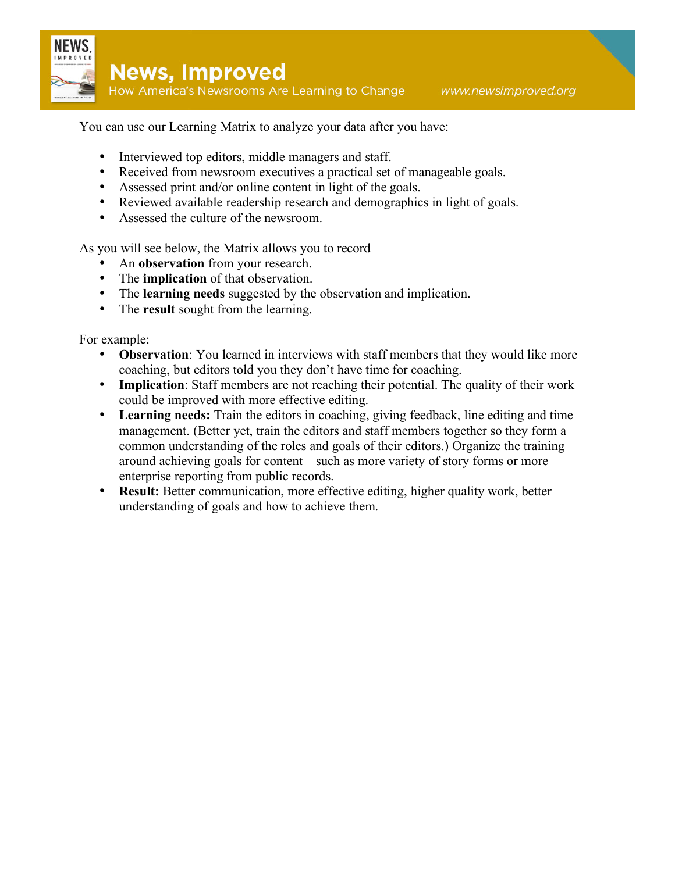

You can use our Learning Matrix to analyze your data after you have:

- Interviewed top editors, middle managers and staff.
- Received from newsroom executives a practical set of manageable goals.
- Assessed print and/or online content in light of the goals.
- Reviewed available readership research and demographics in light of goals.
- Assessed the culture of the newsroom.

As you will see below, the Matrix allows you to record

- An **observation** from your research.
- The **implication** of that observation.
- The **learning needs** suggested by the observation and implication.
- The **result** sought from the learning.

For example:

- **Observation**: You learned in interviews with staff members that they would like more coaching, but editors told you they don't have time for coaching.
- **Implication**: Staff members are not reaching their potential. The quality of their work could be improved with more effective editing.
- **Learning needs:** Train the editors in coaching, giving feedback, line editing and time management. (Better yet, train the editors and staff members together so they form a common understanding of the roles and goals of their editors.) Organize the training around achieving goals for content – such as more variety of story forms or more enterprise reporting from public records.
- **Result:** Better communication, more effective editing, higher quality work, better understanding of goals and how to achieve them.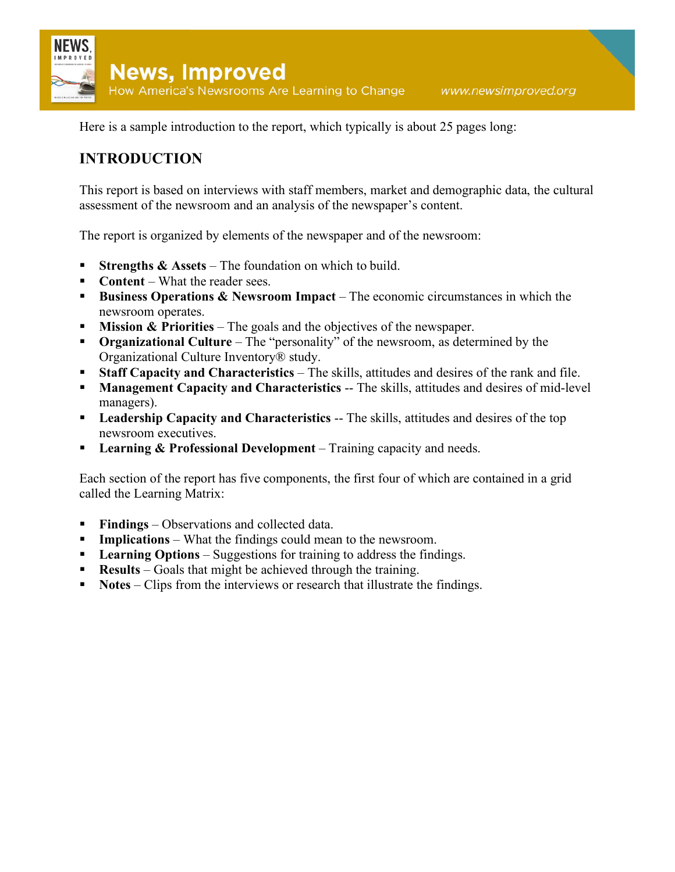

Here is a sample introduction to the report, which typically is about 25 pages long:

## **INTRODUCTION**

This report is based on interviews with staff members, market and demographic data, the cultural assessment of the newsroom and an analysis of the newspaper's content.

The report is organized by elements of the newspaper and of the newsroom:

- **Strengths & Assets** The foundation on which to build.
- **Content** What the reader sees.
- **Business Operations & Newsroom Impact** The economic circumstances in which the newsroom operates.
- **Mission & Priorities** The goals and the objectives of the newspaper.
- **Organizational Culture** The "personality" of the newsroom, as determined by the Organizational Culture Inventory® study.
- **Staff Capacity and Characteristics** The skills, attitudes and desires of the rank and file.
- **Management Capacity and Characteristics** -- The skills, attitudes and desires of mid-level managers).
- **Leadership Capacity and Characteristics** -- The skills, attitudes and desires of the top newsroom executives.
- **Learning & Professional Development** Training capacity and needs.

Each section of the report has five components, the first four of which are contained in a grid called the Learning Matrix:

- **Findings** Observations and collected data.
- **Implications** What the findings could mean to the newsroom.
- **Learning Options** Suggestions for training to address the findings.
- **Results** Goals that might be achieved through the training.
- **Notes** Clips from the interviews or research that illustrate the findings.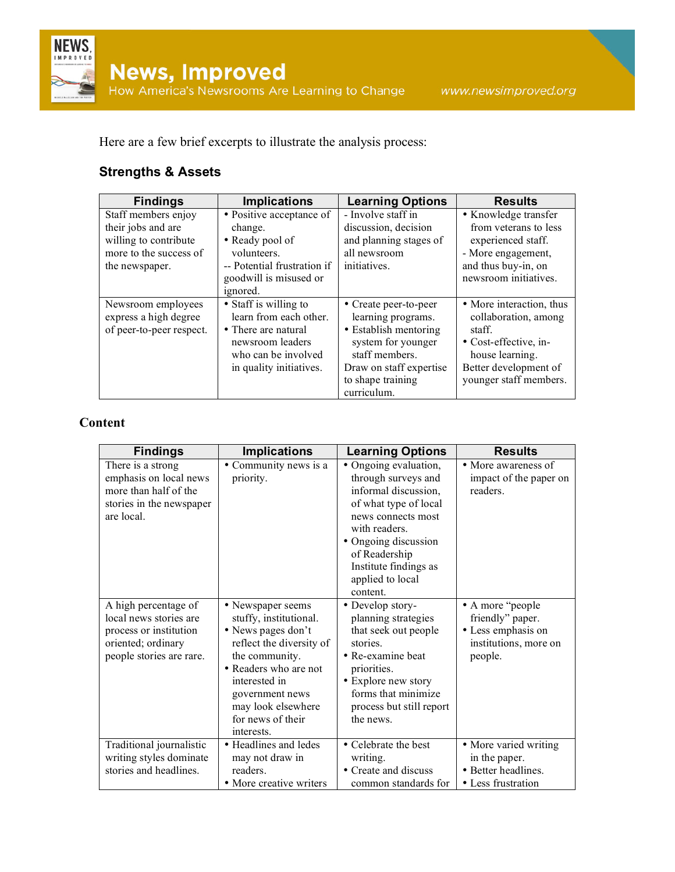Here are a few brief excerpts to illustrate the analysis process:

# **Strengths & Assets**

| <b>Findings</b>          | <b>Implications</b>         | <b>Learning Options</b> | <b>Results</b>           |
|--------------------------|-----------------------------|-------------------------|--------------------------|
| Staff members enjoy      | • Positive acceptance of    | - Involve staff in      | • Knowledge transfer     |
| their jobs and are       | change.                     | discussion, decision    | from veterans to less    |
| willing to contribute    | • Ready pool of             | and planning stages of  | experienced staff.       |
| more to the success of   | volunteers.                 | all newsroom            | - More engagement,       |
| the newspaper.           | -- Potential frustration if | initiatives.            | and thus buy-in, on      |
|                          | goodwill is misused or      |                         | newsroom initiatives.    |
|                          | ignored.                    |                         |                          |
| Newsroom employees       | • Staff is willing to       | • Create peer-to-peer   | • More interaction, thus |
| express a high degree    | learn from each other.      | learning programs.      | collaboration, among     |
| of peer-to-peer respect. | • There are natural         | • Establish mentoring   | staff.                   |
|                          | newsroom leaders            | system for younger      | • Cost-effective, in-    |
|                          | who can be involved         | staff members.          | house learning.          |
|                          | in quality initiatives.     | Draw on staff expertise | Better development of    |
|                          |                             | to shape training       | younger staff members.   |
|                          |                             | curriculum.             |                          |

### **Content**

| <b>Findings</b>                                                                                                            | <b>Implications</b>                                                                                                                                                                                                                   | <b>Learning Options</b>                                                                                                                                                                                                                | <b>Results</b>                                                                                 |
|----------------------------------------------------------------------------------------------------------------------------|---------------------------------------------------------------------------------------------------------------------------------------------------------------------------------------------------------------------------------------|----------------------------------------------------------------------------------------------------------------------------------------------------------------------------------------------------------------------------------------|------------------------------------------------------------------------------------------------|
| There is a strong<br>emphasis on local news<br>more than half of the<br>stories in the newspaper<br>are local.             | • Community news is a<br>priority.                                                                                                                                                                                                    | • Ongoing evaluation,<br>through surveys and<br>informal discussion,<br>of what type of local<br>news connects most<br>with readers.<br>• Ongoing discussion<br>of Readership<br>Institute findings as<br>applied to local<br>content. | • More awareness of<br>impact of the paper on<br>readers.                                      |
| A high percentage of<br>local news stories are<br>process or institution<br>oriented; ordinary<br>people stories are rare. | • Newspaper seems<br>stuffy, institutional.<br>• News pages don't<br>reflect the diversity of<br>the community.<br>• Readers who are not<br>interested in<br>government news<br>may look elsewhere<br>for news of their<br>interests. | • Develop story-<br>planning strategies<br>that seek out people<br>stories.<br>• Re-examine beat<br>priorities.<br>• Explore new story<br>forms that minimize<br>process but still report<br>the news.                                 | • A more "people<br>friendly" paper.<br>• Less emphasis on<br>institutions, more on<br>people. |
| Traditional journalistic<br>writing styles dominate<br>stories and headlines.                                              | • Headlines and ledes<br>may not draw in<br>readers.<br>• More creative writers                                                                                                                                                       | • Celebrate the best<br>writing.<br>• Create and discuss<br>common standards for                                                                                                                                                       | • More varied writing<br>in the paper.<br>• Better headlines.<br>• Less frustration            |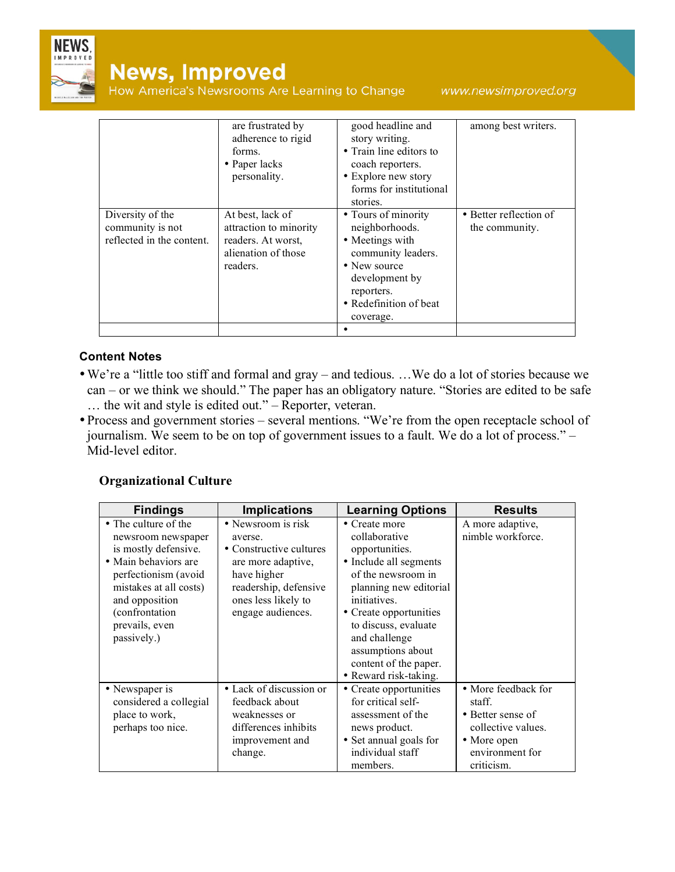

# **News, Improved**

How America's Newsrooms Are Learning to Change

www.newsimproved.org

|                                                                   | are frustrated by<br>adherence to rigid<br>forms.<br>• Paper lacks<br>personality.                  | good headline and<br>story writing.<br>• Train line editors to<br>coach reporters.<br>• Explore new story<br>forms for institutional<br>stories.                      | among best writers.                      |
|-------------------------------------------------------------------|-----------------------------------------------------------------------------------------------------|-----------------------------------------------------------------------------------------------------------------------------------------------------------------------|------------------------------------------|
| Diversity of the<br>community is not<br>reflected in the content. | At best, lack of<br>attraction to minority<br>readers. At worst,<br>alienation of those<br>readers. | • Tours of minority<br>neighborhoods.<br>• Meetings with<br>community leaders.<br>• New source<br>development by<br>reporters.<br>• Redefinition of beat<br>coverage. | • Better reflection of<br>the community. |
|                                                                   |                                                                                                     |                                                                                                                                                                       |                                          |

#### **Content Notes**

- •We're a "little too stiff and formal and gray and tedious. …We do a lot of stories because we can – or we think we should." The paper has an obligatory nature. "Stories are edited to be safe … the wit and style is edited out." – Reporter, veteran.
- Process and government stories several mentions. "We're from the open receptacle school of journalism. We seem to be on top of government issues to a fault. We do a lot of process." – Mid-level editor.

#### **Organizational Culture**

| <b>Findings</b>                                                                                                                                                                                                    | <b>Implications</b>                                                                                                                                                | <b>Learning Options</b>                                                                                                                                                                                                                                                              | <b>Results</b>                                                                                                           |
|--------------------------------------------------------------------------------------------------------------------------------------------------------------------------------------------------------------------|--------------------------------------------------------------------------------------------------------------------------------------------------------------------|--------------------------------------------------------------------------------------------------------------------------------------------------------------------------------------------------------------------------------------------------------------------------------------|--------------------------------------------------------------------------------------------------------------------------|
| • The culture of the<br>newsroom newspaper<br>is mostly defensive.<br>• Main behaviors are<br>perfectionism (avoid<br>mistakes at all costs)<br>and opposition<br>(confrontation)<br>prevails, even<br>passively.) | • Newsroom is risk<br>averse.<br>• Constructive cultures<br>are more adaptive,<br>have higher<br>readership, defensive<br>ones less likely to<br>engage audiences. | • Create more<br>collaborative<br>opportunities.<br>• Include all segments<br>of the newsroom in<br>planning new editorial<br>initiatives.<br>• Create opportunities<br>to discuss, evaluate<br>and challenge<br>assumptions about<br>content of the paper.<br>• Reward risk-taking. | A more adaptive,<br>nimble workforce.                                                                                    |
| • Newspaper is<br>considered a collegial<br>place to work,<br>perhaps too nice.                                                                                                                                    | • Lack of discussion or<br>feedback about<br>weaknesses or<br>differences inhibits<br>improvement and<br>change.                                                   | • Create opportunities<br>for critical self-<br>assessment of the<br>news product.<br>• Set annual goals for<br>individual staff<br>members.                                                                                                                                         | • More feedback for<br>staff.<br>• Better sense of<br>collective values.<br>• More open<br>environment for<br>criticism. |